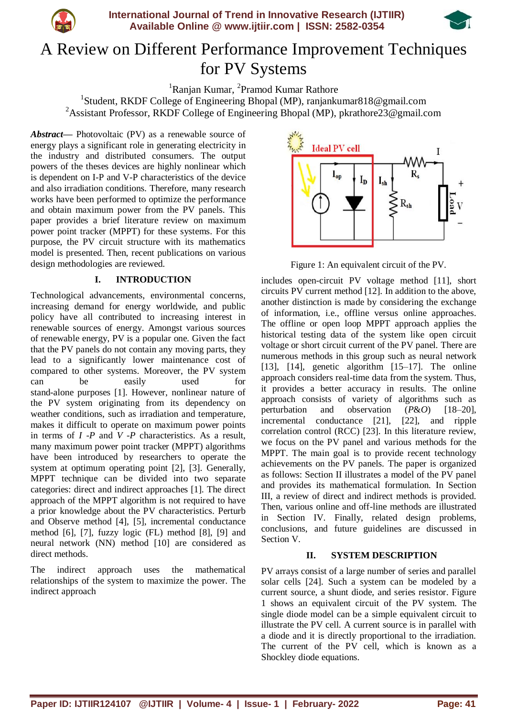



# A Review on Different Performance Improvement Techniques for PV Systems

<sup>1</sup>Ranjan Kumar, <sup>2</sup>Pramod Kumar Rathore

<sup>1</sup>Student, RKDF College of Engineering Bhopal (MP), ranjankumar818@gmail.com <sup>2</sup>Assistant Professor, RKDF College of Engineering Bhopal (MP), pkrathore23@gmail.com

*Abstract***—** Photovoltaic (PV) as a renewable source of energy plays a significant role in generating electricity in the industry and distributed consumers. The output powers of the theses devices are highly nonlinear which is dependent on I-P and V-P characteristics of the device and also irradiation conditions. Therefore, many research works have been performed to optimize the performance and obtain maximum power from the PV panels. This paper provides a brief literature review on maximum power point tracker (MPPT) for these systems. For this purpose, the PV circuit structure with its mathematics model is presented. Then, recent publications on various design methodologies are reviewed.

## **I. INTRODUCTION**

Technological advancements, environmental concerns, increasing demand for energy worldwide, and public policy have all contributed to increasing interest in renewable sources of energy. Amongst various sources of renewable energy, PV is a popular one. Given the fact that the PV panels do not contain any moving parts, they lead to a significantly lower maintenance cost of compared to other systems. Moreover, the PV system can be easily used for stand-alone purposes [1]. However, nonlinear nature of the PV system originating from its dependency on weather conditions, such as irradiation and temperature, makes it difficult to operate on maximum power points in terms of *I -P* and *V -P* characteristics. As a result, many maximum power point tracker (MPPT) algorithms have been introduced by researchers to operate the system at optimum operating point [2], [3]. Generally, MPPT technique can be divided into two separate categories: direct and indirect approaches [1]. The direct approach of the MPPT algorithm is not required to have a prior knowledge about the PV characteristics. Perturb and Observe method [4], [5], incremental conductance method [6], [7], fuzzy logic (FL) method [8], [9] and neural network (NN) method [10] are considered as direct methods.

The indirect approach uses the mathematical relationships of the system to maximize the power. The indirect approach



Figure 1: An equivalent circuit of the PV.

includes open-circuit PV voltage method [11], short circuits PV current method [12]. In addition to the above, another distinction is made by considering the exchange of information, i.e., offline versus online approaches. The offline or open loop MPPT approach applies the historical testing data of the system like open circuit voltage or short circuit current of the PV panel. There are numerous methods in this group such as neural network [13],  $[14]$ , genetic algorithm  $[15-17]$ . The online approach considers real-time data from the system. Thus, it provides a better accuracy in results. The online approach consists of variety of algorithms such as perturbation and observation (*P*&*O*) [18–20], incremental conductance [21], [22], and ripple correlation control (RCC) [23]. In this literature review, we focus on the PV panel and various methods for the MPPT. The main goal is to provide recent technology achievements on the PV panels. The paper is organized as follows: Section II illustrates a model of the PV panel and provides its mathematical formulation. In Section III, a review of direct and indirect methods is provided. Then, various online and off-line methods are illustrated in Section IV. Finally, related design problems, conclusions, and future guidelines are discussed in Section V.

## **II. SYSTEM DESCRIPTION**

PV arrays consist of a large number of series and parallel solar cells [24]. Such a system can be modeled by a current source, a shunt diode, and series resistor. Figure 1 shows an equivalent circuit of the PV system. The single diode model can be a simple equivalent circuit to illustrate the PV cell. A current source is in parallel with a diode and it is directly proportional to the irradiation. The current of the PV cell, which is known as a Shockley diode equations.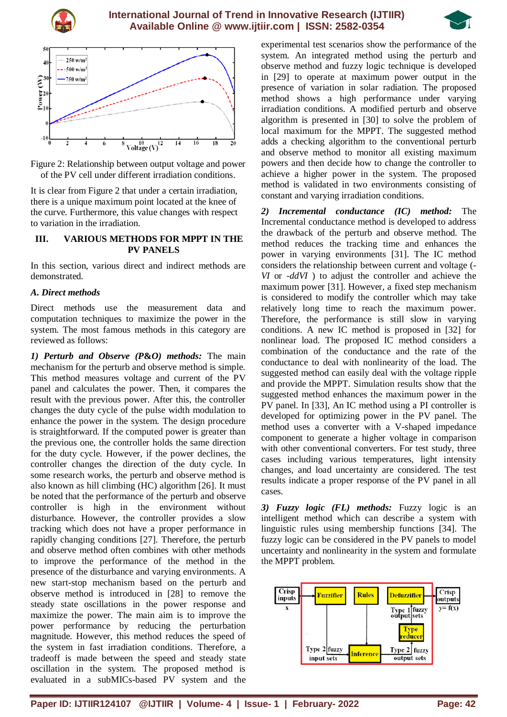





Figure 2: Relationship between output voltage and power of the PV cell under different irradiation conditions.

It is clear from Figure 2 that under a certain irradiation, there is a unique maximum point located at the knee of the curve. Furthermore, this value changes with respect to variation in the irradiation.

#### **III. VARIOUS METHODS FOR MPPT IN THE PV PANELS**

In this section, various direct and indirect methods are demonstrated.

## *A. Direct methods*

Direct methods use the measurement data and computation techniques to maximize the power in the system. The most famous methods in this category are reviewed as follows:

*1) Perturb and Observe (P***&***O) methods:* The main mechanism for the perturb and observe method is simple. This method measures voltage and current of the PV panel and calculates the power. Then, it compares the result with the previous power. After this, the controller changes the duty cycle of the pulse width modulation to enhance the power in the system. The design procedure is straightforward. If the computed power is greater than the previous one, the controller holds the same direction for the duty cycle. However, if the power declines, the controller changes the direction of the duty cycle. In some research works, the perturb and observe method is also known as hill climbing (HC) algorithm [26]. It must be noted that the performance of the perturb and observe controller is high in the environment without disturbance. However, the controller provides a slow tracking which does not have a proper performance in rapidly changing conditions [27]. Therefore, the perturb and observe method often combines with other methods to improve the performance of the method in the presence of the disturbance and varying environments. A new start-stop mechanism based on the perturb and observe method is introduced in [28] to remove the steady state oscillations in the power response and maximize the power. The main aim is to improve the power performance by reducing the perturbation magnitude. However, this method reduces the speed of the system in fast irradiation conditions. Therefore, a tradeoff is made between the speed and steady state oscillation in the system. The proposed method is evaluated in a subMICs-based PV system and the

experimental test scenarios show the performance of the system. An integrated method using the perturb and observe method and fuzzy logic technique is developed in [29] to operate at maximum power output in the presence of variation in solar radiation. The proposed method shows a high performance under varying irradiation conditions. A modified perturb and observe algorithm is presented in [30] to solve the problem of local maximum for the MPPT. The suggested method adds a checking algorithm to the conventional perturb and observe method to monitor all existing maximum powers and then decide how to change the controller to achieve a higher power in the system. The proposed method is validated in two environments consisting of constant and varying irradiation conditions.

*2) Incremental conductance (IC) method:* The Incremental conductance method is developed to address the drawback of the perturb and observe method. The method reduces the tracking time and enhances the power in varying environments [31]. The IC method considers the relationship between current and voltage (*- VI* or *-ddVI* ) to adjust the controller and achieve the maximum power [31]. However, a fixed step mechanism is considered to modify the controller which may take relatively long time to reach the maximum power. Therefore, the performance is still slow in varying conditions. A new IC method is proposed in [32] for nonlinear load. The proposed IC method considers a combination of the conductance and the rate of the conductance to deal with nonlinearity of the load. The suggested method can easily deal with the voltage ripple and provide the MPPT. Simulation results show that the suggested method enhances the maximum power in the PV panel. In [33], An IC method using a PI controller is developed for optimizing power in the PV panel. The method uses a converter with a V-shaped impedance component to generate a higher voltage in comparison with other conventional converters. For test study, three cases including various temperatures, light intensity changes, and load uncertainty are considered. The test results indicate a proper response of the PV panel in all cases.

*3) Fuzzy logic (FL) methods:* Fuzzy logic is an intelligent method which can describe a system with linguistic rules using membership functions [34]. The fuzzy logic can be considered in the PV panels to model uncertainty and nonlinearity in the system and formulate the MPPT problem.

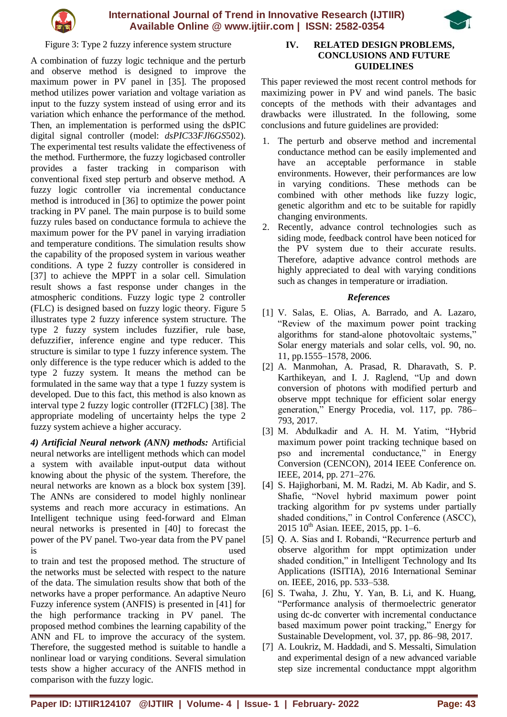



Figure 3: Type 2 fuzzy inference system structure

A combination of fuzzy logic technique and the perturb and observe method is designed to improve the maximum power in PV panel in [35]. The proposed method utilizes power variation and voltage variation as input to the fuzzy system instead of using error and its variation which enhance the performance of the method. Then, an implementation is performed using the dsPIC digital signal controller (model: *dsPIC*33*FJl*6*GS*502). The experimental test results validate the effectiveness of the method. Furthermore, the fuzzy logicbased controller provides a faster tracking in comparison with conventional fixed step perturb and observe method. A fuzzy logic controller via incremental conductance method is introduced in [36] to optimize the power point tracking in PV panel. The main purpose is to build some fuzzy rules based on conductance formula to achieve the maximum power for the PV panel in varying irradiation and temperature conditions. The simulation results show the capability of the proposed system in various weather conditions. A type 2 fuzzy controller is considered in [37] to achieve the MPPT in a solar cell. Simulation result shows a fast response under changes in the atmospheric conditions. Fuzzy logic type 2 controller (FLC) is designed based on fuzzy logic theory. Figure 5 illustrates type 2 fuzzy inference system structure. The type 2 fuzzy system includes fuzzifier, rule base, defuzzifier, inference engine and type reducer. This structure is similar to type 1 fuzzy inference system. The only difference is the type reducer which is added to the type 2 fuzzy system. It means the method can be formulated in the same way that a type 1 fuzzy system is developed. Due to this fact, this method is also known as interval type 2 fuzzy logic controller (IT2FLC) [38]. The appropriate modeling of uncertainty helps the type 2 fuzzy system achieve a higher accuracy.

*4) Artificial Neural network (ANN) methods:* Artificial neural networks are intelligent methods which can model a system with available input-output data without knowing about the physic of the system. Therefore, the neural networks are known as a block box system [39]. The ANNs are considered to model highly nonlinear systems and reach more accuracy in estimations. An Intelligent technique using feed-forward and Elman neural networks is presented in [40] to forecast the power of the PV panel. Two-year data from the PV panel is used

to train and test the proposed method. The structure of the networks must be selected with respect to the nature of the data. The simulation results show that both of the networks have a proper performance. An adaptive Neuro Fuzzy inference system (ANFIS) is presented in [41] for the high performance tracking in PV panel. The proposed method combines the learning capability of the ANN and FL to improve the accuracy of the system. Therefore, the suggested method is suitable to handle a nonlinear load or varying conditions. Several simulation tests show a higher accuracy of the ANFIS method in comparison with the fuzzy logic.

## **IV. RELATED DESIGN PROBLEMS, CONCLUSIONS AND FUTURE GUIDELINES**

This paper reviewed the most recent control methods for maximizing power in PV and wind panels. The basic concepts of the methods with their advantages and drawbacks were illustrated. In the following, some conclusions and future guidelines are provided:

- 1. The perturb and observe method and incremental conductance method can be easily implemented and have an acceptable performance in stable environments. However, their performances are low in varying conditions. These methods can be combined with other methods like fuzzy logic, genetic algorithm and etc to be suitable for rapidly changing environments.
- 2. Recently, advance control technologies such as siding mode, feedback control have been noticed for the PV system due to their accurate results. Therefore, adaptive advance control methods are highly appreciated to deal with varying conditions such as changes in temperature or irradiation.

## *References*

- [1] V. Salas, E. Olias, A. Barrado, and A. Lazaro, "Review of the maximum power point tracking algorithms for stand-alone photovoltaic systems," Solar energy materials and solar cells, vol. 90, no. 11, pp.1555–1578, 2006.
- [2] A. Manmohan, A. Prasad, R. Dharavath, S. P. Karthikeyan, and I. J. Raglend, "Up and down conversion of photons with modified perturb and observe mppt technique for efficient solar energy generation," Energy Procedia, vol. 117, pp. 786– 793, 2017.
- [3] M. Abdulkadir and A. H. M. Yatim, "Hybrid maximum power point tracking technique based on pso and incremental conductance," in Energy Conversion (CENCON), 2014 IEEE Conference on. IEEE, 2014, pp. 271–276.
- [4] S. Hajighorbani, M. M. Radzi, M. Ab Kadir, and S. Shafie, "Novel hybrid maximum power point tracking algorithm for pv systems under partially shaded conditions," in Control Conference (ASCC),  $2015 \, 10^{th}$  Asian. IEEE, 2015, pp. 1–6.
- [5] Q. A. Sias and I. Robandi, "Recurrence perturb and observe algorithm for mppt optimization under shaded condition," in Intelligent Technology and Its Applications (ISITIA), 2016 International Seminar on. IEEE, 2016, pp. 533–538.
- [6] S. Twaha, J. Zhu, Y. Yan, B. Li, and K. Huang, "Performance analysis of thermoelectric generator using dc-dc converter with incremental conductance based maximum power point tracking," Energy for Sustainable Development, vol. 37, pp. 86–98, 2017.
- [7] A. Loukriz, M. Haddadi, and S. Messalti, Simulation and experimental design of a new advanced variable step size incremental conductance mppt algorithm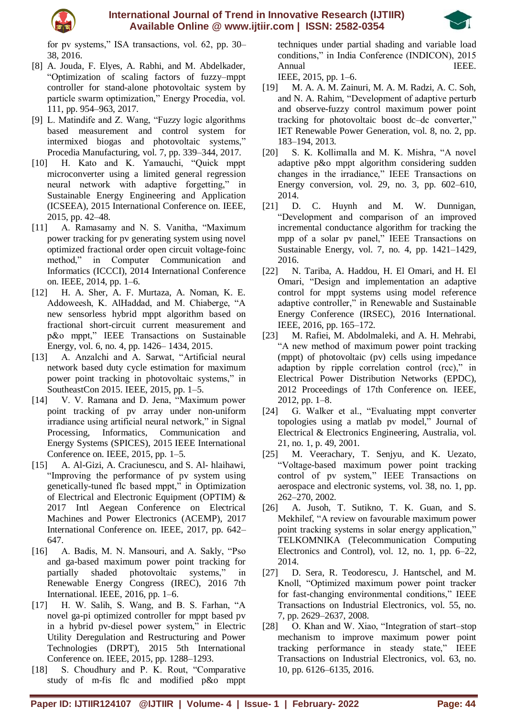



for pv systems," ISA transactions, vol. 62, pp. 30– 38, 2016.

- [8] A. Jouda, F. Elyes, A. Rabhi, and M. Abdelkader, "Optimization of scaling factors of fuzzy–mppt controller for stand-alone photovoltaic system by particle swarm optimization," Energy Procedia, vol. 111, pp. 954–963, 2017.
- [9] L. Matindife and Z. Wang, "Fuzzy logic algorithms based measurement and control system for intermixed biogas and photovoltaic systems," Procedia Manufacturing, vol. 7, pp. 339–344, 2017.
- [10] H. Kato and K. Yamauchi, "Quick mppt microconverter using a limited general regression neural network with adaptive forgetting," in Sustainable Energy Engineering and Application (ICSEEA), 2015 International Conference on. IEEE, 2015, pp. 42–48.
- [11] A. Ramasamy and N. S. Vanitha, "Maximum power tracking for pv generating system using novel optimized fractional order open circuit voltage-foinc method," in Computer Communication and Informatics (ICCCI), 2014 International Conference on. IEEE, 2014, pp. 1–6.
- [12] H. A. Sher, A. F. Murtaza, A. Noman, K. E. Addoweesh, K. AlHaddad, and M. Chiaberge, "A new sensorless hybrid mppt algorithm based on fractional short-circuit current measurement and p&o mppt," IEEE Transactions on Sustainable Energy, vol. 6, no. 4, pp. 1426– 1434, 2015.
- [13] A. Anzalchi and A. Sarwat, "Artificial neural network based duty cycle estimation for maximum power point tracking in photovoltaic systems," in SoutheastCon 2015. IEEE, 2015, pp. 1–5.
- [14] V. V. Ramana and D. Jena, "Maximum power point tracking of pv array under non-uniform irradiance using artificial neural network," in Signal Processing, Informatics, Communication and Energy Systems (SPICES), 2015 IEEE International Conference on. IEEE, 2015, pp. 1–5.
- [15] A. Al-Gizi, A. Craciunescu, and S. Al- hlaihawi, "Improving the performance of pv system using genetically-tuned flc based mppt," in Optimization of Electrical and Electronic Equipment (OPTIM) & 2017 Intl Aegean Conference on Electrical Machines and Power Electronics (ACEMP), 2017 International Conference on. IEEE, 2017, pp. 642– 647.
- [16] A. Badis, M. N. Mansouri, and A. Sakly, "Pso and ga-based maximum power point tracking for partially shaded photovoltaic systems," in Renewable Energy Congress (IREC), 2016 7th International. IEEE, 2016, pp. 1–6.
- [17] H. W. Salih, S. Wang, and B. S. Farhan, "A novel ga-pi optimized controller for mppt based pv in a hybrid pv-diesel power system," in Electric Utility Deregulation and Restructuring and Power Technologies (DRPT), 2015 5th International Conference on. IEEE, 2015, pp. 1288–1293.
- [18] S. Choudhury and P. K. Rout, "Comparative study of m-fis flc and modified p&o mppt

techniques under partial shading and variable load conditions," in India Conference (INDICON), 2015 Annual IEEE.

IEEE, 2015, pp. 1–6.

- [19] M. A. A. M. Zainuri, M. A. M. Radzi, A. C. Soh, and N. A. Rahim, "Development of adaptive perturb and observe-fuzzy control maximum power point tracking for photovoltaic boost dc–dc converter," IET Renewable Power Generation, vol. 8, no. 2, pp. 183–194, 2013.
- [20] S. K. Kollimalla and M. K. Mishra, "A novel adaptive p&o mppt algorithm considering sudden changes in the irradiance," IEEE Transactions on Energy conversion, vol. 29, no. 3, pp. 602–610, 2014.
- [21] D. C. Huynh and M. W. Dunnigan, "Development and comparison of an improved incremental conductance algorithm for tracking the mpp of a solar pv panel," IEEE Transactions on Sustainable Energy, vol. 7, no. 4, pp. 1421–1429, 2016.
- [22] N. Tariba, A. Haddou, H. El Omari, and H. El Omari, "Design and implementation an adaptive control for mppt systems using model reference adaptive controller," in Renewable and Sustainable Energy Conference (IRSEC), 2016 International. IEEE, 2016, pp. 165–172.
- [23] M. Rafiei, M. Abdolmaleki, and A. H. Mehrabi, "A new method of maximum power point tracking (mppt) of photovoltaic (pv) cells using impedance adaption by ripple correlation control (rcc)," in Electrical Power Distribution Networks (EPDC), 2012 Proceedings of 17th Conference on. IEEE, 2012, pp. 1–8.
- [24] G. Walker et al., "Evaluating mppt converter topologies using a matlab pv model," Journal of Electrical & Electronics Engineering, Australia, vol. 21, no. 1, p. 49, 2001.
- [25] M. Veerachary, T. Senjyu, and K. Uezato, "Voltage-based maximum power point tracking control of pv system," IEEE Transactions on aerospace and electronic systems, vol. 38, no. 1, pp. 262–270, 2002.
- [26] A. Jusoh, T. Sutikno, T. K. Guan, and S. Mekhilef, "A review on favourable maximum power point tracking systems in solar energy application," TELKOMNIKA (Telecommunication Computing Electronics and Control), vol. 12, no. 1, pp. 6–22, 2014.
- [27] D. Sera, R. Teodorescu, J. Hantschel, and M. Knoll, "Optimized maximum power point tracker for fast-changing environmental conditions," IEEE Transactions on Industrial Electronics, vol. 55, no. 7, pp. 2629–2637, 2008.
- [28] O. Khan and W. Xiao, "Integration of start–stop mechanism to improve maximum power point tracking performance in steady state," IEEE Transactions on Industrial Electronics, vol. 63, no. 10, pp. 6126–6135, 2016.